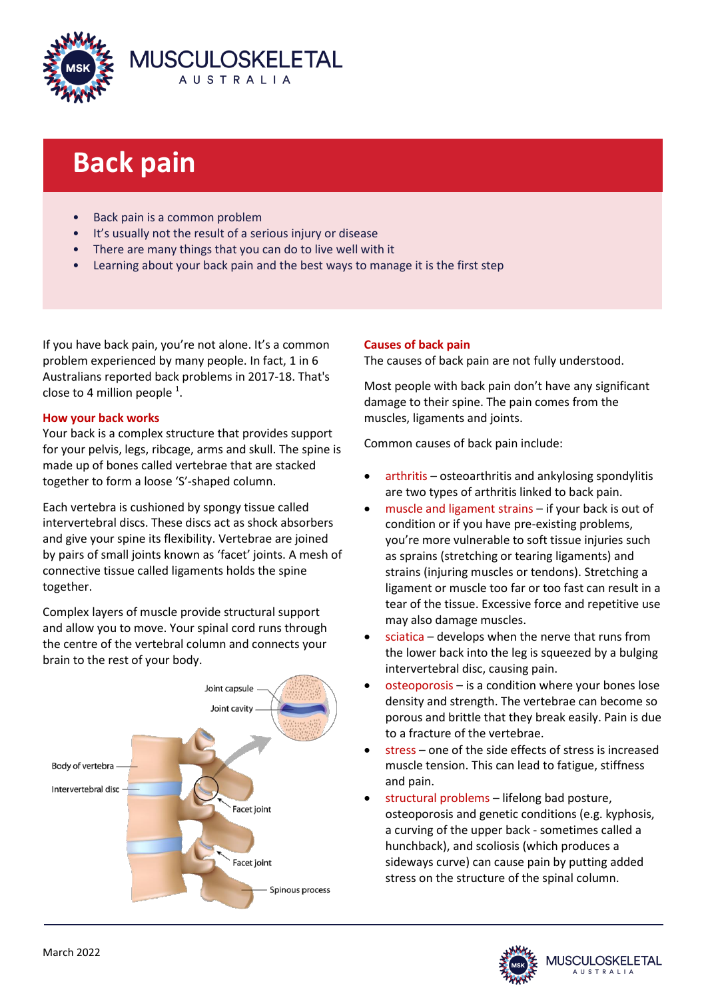

# **Back pain**

- **Back pain is a common problem**
- It's usually not the result of a serious injury or disease
- There are many things that you can do to live well with it
- Learning about your back pain and the best ways to manage it is the first step

If you have back pain, you're not alone. It's a common problem experienced by many people. In fact, 1 in 6 Australians reported back problems in 2017-18. That's close to 4 million people  $^1$ .

# **How your back works**

Your back is a complex structure that provides support for your pelvis, legs, ribcage, arms and skull. The spine is made up of bones called vertebrae that are stacked together to form a loose 'S'-shaped column.

Each vertebra is cushioned by spongy tissue called intervertebral discs. These discs act as shock absorbers and give your spine its flexibility. Vertebrae are joined by pairs of small joints known as 'facet' joints. A mesh of connective tissue called ligaments holds the spine together.

Complex layers of muscle provide structural support and allow you to move. Your spinal cord runs through the centre of the vertebral column and connects your brain to the rest of your body.



# **Causes of back pain**

The causes of back pain are not fully understood.

Most people with back pain don't have any significant damage to their spine. The pain comes from the muscles, ligaments and joints.

Common causes of back pain include:

- arthritis osteoarthritis and ankylosing spondylitis are two types of arthritis linked to back pain.
- muscle and ligament strains if your back is out of condition or if you have pre-existing problems, you're more vulnerable to soft tissue injuries such as sprains (stretching or tearing ligaments) and strains (injuring muscles or tendons). Stretching a ligament or muscle too far or too fast can result in a tear of the tissue. Excessive force and repetitive use may also damage muscles.
- sciatica develops when the nerve that runs from the lower back into the leg is squeezed by a bulging intervertebral disc, causing pain.
- osteoporosis is a condition where your bones lose density and strength. The vertebrae can become so porous and brittle that they break easily. Pain is due to a fracture of the vertebrae.
- stress one of the side effects of stress is increased muscle tension. This can lead to fatigue, stiffness and pain.
- structural problems lifelong bad posture, osteoporosis and genetic conditions (e.g. kyphosis, a curving of the upper back - sometimes called a hunchback), and scoliosis (which produces a sideways curve) can cause pain by putting added stress on the structure of the spinal column.

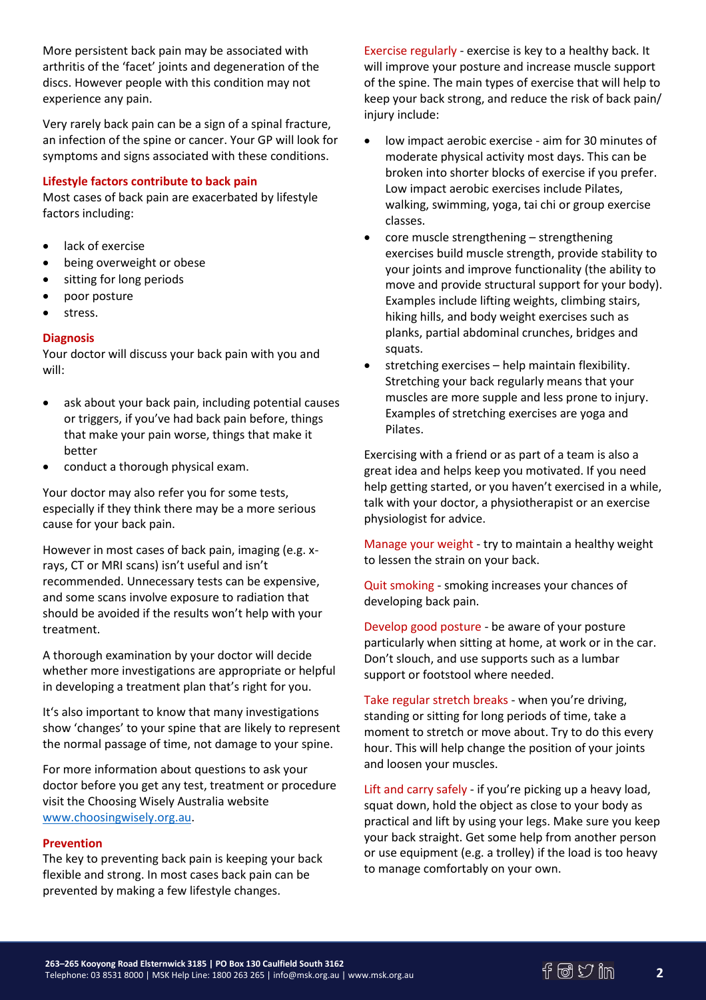More persistent back pain may be associated with arthritis of the 'facet' joints and degeneration of the discs. However people with this condition may not experience any pain.

Very rarely back pain can be a sign of a spinal fracture, an infection of the spine or cancer. Your GP will look for symptoms and signs associated with these conditions.

## **Lifestyle factors contribute to back pain**

Most cases of back pain are exacerbated by lifestyle factors including:

- lack of exercise
- being overweight or obese
- sitting for long periods
- poor posture
- stress.

# **Diagnosis**

Your doctor will discuss your back pain with you and will:

- ask about your back pain, including potential causes or triggers, if you've had back pain before, things that make your pain worse, things that make it better
- conduct a thorough physical exam.

Your doctor may also refer you for some tests, especially if they think there may be a more serious cause for your back pain.

However in most cases of back pain, imaging (e.g. xrays, CT or MRI scans) isn't useful and isn't recommended. Unnecessary tests can be expensive, and some scans involve exposure to radiation that should be avoided if the results won't help with your treatment.

A thorough examination by your doctor will decide whether more investigations are appropriate or helpful in developing a treatment plan that's right for you.

It's also important to know that many investigations show 'changes' to your spine that are likely to represent the normal passage of time, not damage to your spine.

For more information about questions to ask your doctor before you get any test, treatment or procedure visit the Choosing Wisely Australia website [www.choosingwisely.org.au.](http://www.choosingwisely.org.au/)

## **Prevention**

The key to preventing back pain is keeping your back flexible and strong. In most cases back pain can be prevented by making a few lifestyle changes.

Exercise regularly - exercise is key to a healthy back. It will improve your posture and increase muscle support of the spine. The main types of exercise that will help to keep your back strong, and reduce the risk of back pain/ injury include:

- low impact aerobic exercise aim for 30 minutes of moderate physical activity most days. This can be broken into shorter blocks of exercise if you prefer. Low impact aerobic exercises include Pilates, walking, swimming, yoga, tai chi or group exercise classes.
- core muscle strengthening strengthening exercises build muscle strength, provide stability to your joints and improve functionality (the ability to move and provide structural support for your body). Examples include lifting weights, climbing stairs, hiking hills, and body weight exercises such as planks, partial abdominal crunches, bridges and squats.
- stretching exercises help maintain flexibility. Stretching your back regularly means that your muscles are more supple and less prone to injury. Examples of stretching exercises are yoga and Pilates.

Exercising with a friend or as part of a team is also a great idea and helps keep you motivated. If you need help getting started, or you haven't exercised in a while, talk with your doctor, a physiotherapist or an exercise physiologist for advice.

Manage your weight - try to maintain a healthy weight to lessen the strain on your back.

Quit smoking - smoking increases your chances of developing back pain.

Develop good posture - be aware of your posture particularly when sitting at home, at work or in the car. Don't slouch, and use supports such as a lumbar support or footstool where needed.

Take regular stretch breaks - when you're driving, standing or sitting for long periods of time, take a moment to stretch or move about. Try to do this every hour. This will help change the position of your joints and loosen your muscles.

Lift and carry safely - if you're picking up a heavy load, squat down, hold the object as close to your body as practical and lift by using your legs. Make sure you keep your back straight. Get some help from another person or use equipment (e.g. a trolley) if the load is too heavy to manage comfortably on your own.

**2**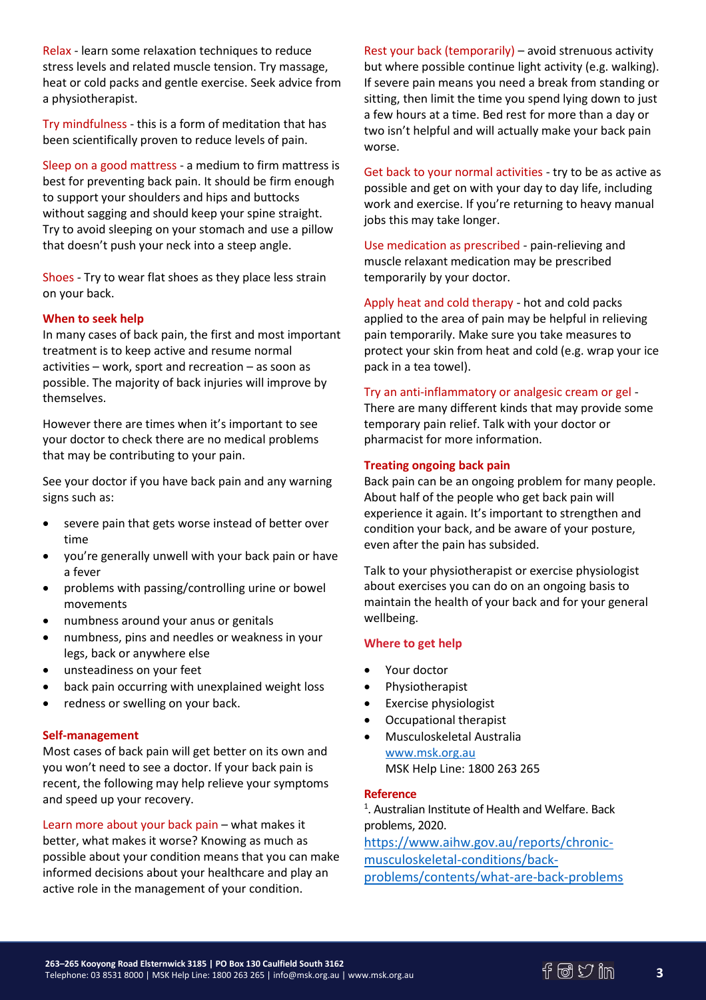Relax - learn some relaxation techniques to reduce stress levels and related muscle tension. Try massage, heat or cold packs and gentle exercise. Seek advice from a physiotherapist.

Try mindfulness - this is a form of meditation that has been scientifically proven to reduce levels of pain.

Sleep on a good mattress - a medium to firm mattress is best for preventing back pain. It should be firm enough to support your shoulders and hips and buttocks without sagging and should keep your spine straight. Try to avoid sleeping on your stomach and use a pillow that doesn't push your neck into a steep angle.

Shoes - Try to wear flat shoes as they place less strain on your back.

## **When to seek help**

In many cases of back pain, the first and most important treatment is to keep active and resume normal activities – work, sport and recreation – as soon as possible. The majority of back injuries will improve by themselves.

However there are times when it's important to see your doctor to check there are no medical problems that may be contributing to your pain.

See your doctor if you have back pain and any warning signs such as:

- severe pain that gets worse instead of better over time
- you're generally unwell with your back pain or have a fever
- problems with passing/controlling urine or bowel movements
- numbness around your anus or genitals
- numbness, pins and needles or weakness in your legs, back or anywhere else
- unsteadiness on your feet
- back pain occurring with unexplained weight loss
- redness or swelling on your back.

#### **Self-management**

Most cases of back pain will get better on its own and you won't need to see a doctor. If your back pain is recent, the following may help relieve your symptoms and speed up your recovery.

Learn more about your back pain – what makes it better, what makes it worse? Knowing as much as possible about your condition means that you can make informed decisions about your healthcare and play an active role in the management of your condition.

Rest your back (temporarily) – avoid strenuous activity but where possible continue light activity (e.g. walking). If severe pain means you need a break from standing or sitting, then limit the time you spend lying down to just a few hours at a time. Bed rest for more than a day or two isn't helpful and will actually make your back pain worse.

Get back to your normal activities - try to be as active as possible and get on with your day to day life, including work and exercise. If you're returning to heavy manual jobs this may take longer.

Use medication as prescribed - pain-relieving and muscle relaxant medication may be prescribed temporarily by your doctor.

Apply heat and cold therapy - hot and cold packs applied to the area of pain may be helpful in relieving pain temporarily. Make sure you take measures to protect your skin from heat and cold (e.g. wrap your ice pack in a tea towel).

## Try an anti-inflammatory or analgesic cream or gel -

There are many different kinds that may provide some temporary pain relief. Talk with your doctor or pharmacist for more information.

#### **Treating ongoing back pain**

Back pain can be an ongoing problem for many people. About half of the people who get back pain will experience it again. It's important to strengthen and condition your back, and be aware of your posture, even after the pain has subsided.

Talk to your physiotherapist or exercise physiologist about exercises you can do on an ongoing basis to maintain the health of your back and for your general wellbeing.

#### **Where to get help**

- Your doctor
- Physiotherapist
- Exercise physiologist
- Occupational therapist
- Musculoskeletal Australia [www.msk.org.au](http://www.msk.org.au/) MSK Help Line: 1800 263 265

#### **Reference**

<sup>1</sup>. Australian Institute of Health and Welfare. Back problems, 2020.

[https://www.aihw.gov.au/reports/chronic](https://www.aihw.gov.au/reports/chronic-musculoskeletal-conditions/back-problems/contents/what-are-back-problems)[musculoskeletal-conditions/back](https://www.aihw.gov.au/reports/chronic-musculoskeletal-conditions/back-problems/contents/what-are-back-problems)[problems/contents/what-are-back-problems](https://www.aihw.gov.au/reports/chronic-musculoskeletal-conditions/back-problems/contents/what-are-back-problems)

**3**